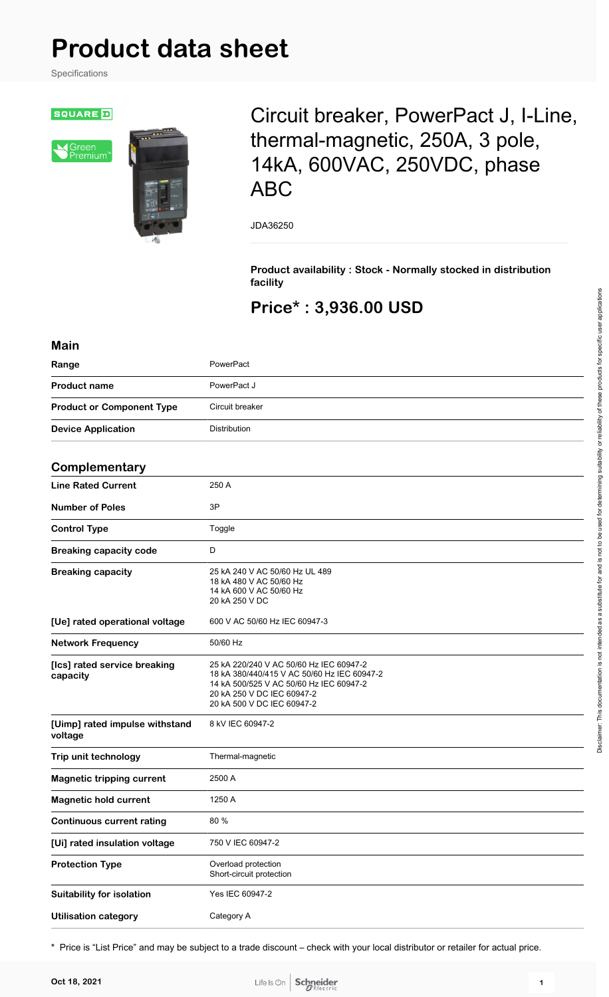# **Product data sheet**

Specifications

**SQUARE** 





## Circuit breaker, PowerPact J, I-Line, thermal-magnetic, 250A, 3 pole, 14kA, 600VAC, 250VDC, phase ABC

JDA36250

**Product availability : Stock - Normally stocked in distribution facility**

## **Price\* : 3,936.00 USD**

| <b>Main</b>                               |                                                                                                                                                                                               |
|-------------------------------------------|-----------------------------------------------------------------------------------------------------------------------------------------------------------------------------------------------|
| Range                                     | PowerPact                                                                                                                                                                                     |
| <b>Product name</b>                       | PowerPact J                                                                                                                                                                                   |
| <b>Product or Component Type</b>          | Circuit breaker                                                                                                                                                                               |
| <b>Device Application</b>                 | Distribution                                                                                                                                                                                  |
| Complementary                             |                                                                                                                                                                                               |
| <b>Line Rated Current</b>                 | 250 A                                                                                                                                                                                         |
| <b>Number of Poles</b>                    | 3P                                                                                                                                                                                            |
| <b>Control Type</b>                       | Toggle                                                                                                                                                                                        |
| <b>Breaking capacity code</b>             | D                                                                                                                                                                                             |
| <b>Breaking capacity</b>                  | 25 kA 240 V AC 50/60 Hz UL 489<br>18 kA 480 V AC 50/60 Hz<br>14 kA 600 V AC 50/60 Hz<br>20 kA 250 V DC                                                                                        |
| [Ue] rated operational voltage            | 600 V AC 50/60 Hz IEC 60947-3                                                                                                                                                                 |
| <b>Network Frequency</b>                  | 50/60 Hz                                                                                                                                                                                      |
| [Ics] rated service breaking<br>capacity  | 25 kA 220/240 V AC 50/60 Hz IEC 60947-2<br>18 kA 380/440/415 V AC 50/60 Hz IEC 60947-2<br>14 kA 500/525 V AC 50/60 Hz IEC 60947-2<br>20 kA 250 V DC IEC 60947-2<br>20 kA 500 V DC IEC 60947-2 |
| [Uimp] rated impulse withstand<br>voltage | 8 kV IEC 60947-2                                                                                                                                                                              |
| Trip unit technology                      | Thermal-magnetic                                                                                                                                                                              |
| <b>Magnetic tripping current</b>          | 2500 A                                                                                                                                                                                        |
| <b>Magnetic hold current</b>              | 1250 A                                                                                                                                                                                        |
| <b>Continuous current rating</b>          | 80 %                                                                                                                                                                                          |
| [Ui] rated insulation voltage             | 750 V IEC 60947-2                                                                                                                                                                             |
| <b>Protection Type</b>                    | Overload protection<br>Short-circuit protection                                                                                                                                               |
| <b>Suitability for isolation</b>          | Yes IEC 60947-2                                                                                                                                                                               |
| <b>Utilisation category</b>               | Category A                                                                                                                                                                                    |

\* Price is "List Price" and may be subject to a trade discount – check with your local distributor or retailer for actual price.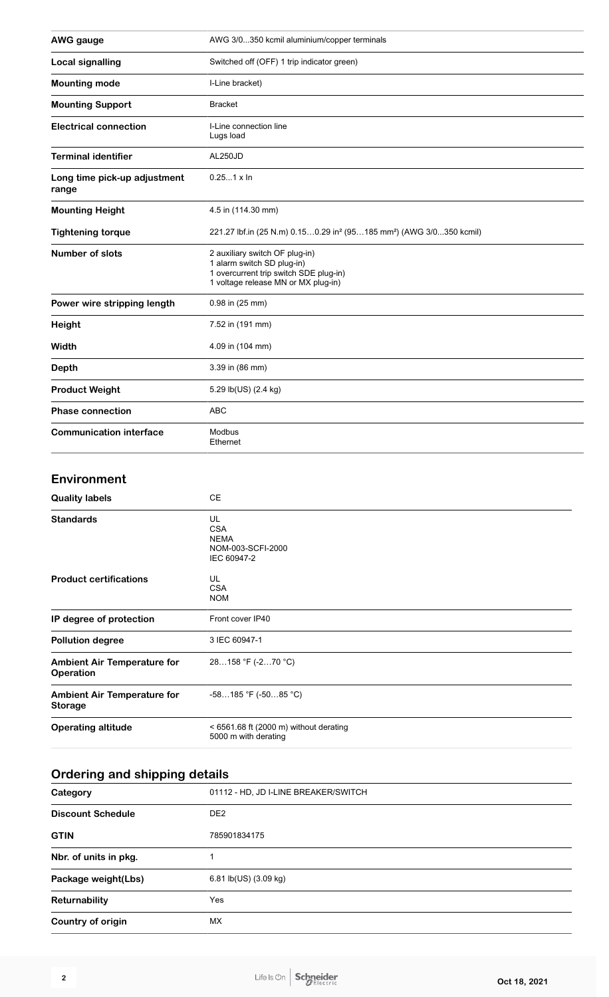| <b>AWG</b> gauge                      | AWG 3/0350 kcmil aluminium/copper terminals                                                                                                   |
|---------------------------------------|-----------------------------------------------------------------------------------------------------------------------------------------------|
| <b>Local signalling</b>               | Switched off (OFF) 1 trip indicator green)                                                                                                    |
| <b>Mounting mode</b>                  | I-Line bracket)                                                                                                                               |
| <b>Mounting Support</b>               | <b>Bracket</b>                                                                                                                                |
| <b>Electrical connection</b>          | I-Line connection line<br>Lugs load                                                                                                           |
| <b>Terminal identifier</b>            | AL250JD                                                                                                                                       |
| Long time pick-up adjustment<br>range | $0.251 \times \ln$                                                                                                                            |
| <b>Mounting Height</b>                | 4.5 in (114.30 mm)                                                                                                                            |
| <b>Tightening torque</b>              | 221.27 lbf.in (25 N.m) 0.150.29 in <sup>2</sup> (95185 mm <sup>2</sup> ) (AWG 3/0350 kcmil)                                                   |
| <b>Number of slots</b>                | 2 auxiliary switch OF plug-in)<br>1 alarm switch SD plug-in)<br>1 overcurrent trip switch SDE plug-in)<br>1 voltage release MN or MX plug-in) |
| Power wire stripping length           | 0.98 in (25 mm)                                                                                                                               |
| Height                                | 7.52 in (191 mm)                                                                                                                              |
| Width                                 | 4.09 in (104 mm)                                                                                                                              |
| <b>Depth</b>                          | 3.39 in (86 mm)                                                                                                                               |
| <b>Product Weight</b>                 | 5.29 lb(US) (2.4 kg)                                                                                                                          |
| <b>Phase connection</b>               | <b>ABC</b>                                                                                                                                    |
| <b>Communication interface</b>        | Modbus<br>Ethernet                                                                                                                            |

#### **Environment**

| <b>Quality labels</b>                                | <b>CE</b>                                                           |
|------------------------------------------------------|---------------------------------------------------------------------|
| <b>Standards</b>                                     | UL<br><b>CSA</b><br><b>NEMA</b><br>NOM-003-SCFI-2000<br>IEC 60947-2 |
| <b>Product certifications</b>                        | UL<br><b>CSA</b><br><b>NOM</b>                                      |
| IP degree of protection                              | Front cover IP40                                                    |
| <b>Pollution degree</b>                              | 3 IEC 60947-1                                                       |
| <b>Ambient Air Temperature for</b><br>Operation      | 28158 °F (-270 °C)                                                  |
| <b>Ambient Air Temperature for</b><br><b>Storage</b> | $-58185$ °F ( $-5085$ °C)                                           |
| <b>Operating altitude</b>                            | $<$ 6561.68 ft (2000 m) without derating<br>5000 m with derating    |

## **Ordering and shipping details**

| Category                 | 01112 - HD, JD I-LINE BREAKER/SWITCH |
|--------------------------|--------------------------------------|
| <b>Discount Schedule</b> | DE <sub>2</sub>                      |
| <b>GTIN</b>              | 785901834175                         |
| Nbr. of units in pkg.    |                                      |
| Package weight(Lbs)      | 6.81 lb(US) (3.09 kg)                |
| Returnability            | <b>Yes</b>                           |
| Country of origin        | МX                                   |